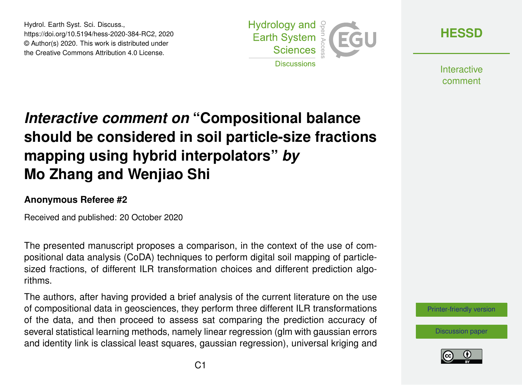Hydrol. Earth Syst. Sci. Discuss., https://doi.org/10.5194/hess-2020-384-RC2, 2020 © Author(s) 2020. This work is distributed under the Creative Commons Attribution 4.0 License.



**[HESSD](https://hess.copernicus.org/preprints/)**

**Interactive** comment

## *Interactive comment on* **"Compositional balance should be considered in soil particle-size fractions mapping using hybrid interpolators"** *by* **Mo Zhang and Wenjiao Shi**

## **Anonymous Referee #2**

Received and published: 20 October 2020

The presented manuscript proposes a comparison, in the context of the use of compositional data analysis (CoDA) techniques to perform digital soil mapping of particlesized fractions, of different ILR transformation choices and different prediction algorithms.

The authors, after having provided a brief analysis of the current literature on the use of compositional data in geosciences, they perform three different ILR transformations of the data, and then proceed to assess sat comparing the prediction accuracy of several statistical learning methods, namely linear regression (glm with gaussian errors and identity link is classical least squares, gaussian regression), universal kriging and



[Discussion paper](https://hess.copernicus.org/preprints/hess-2020-384)